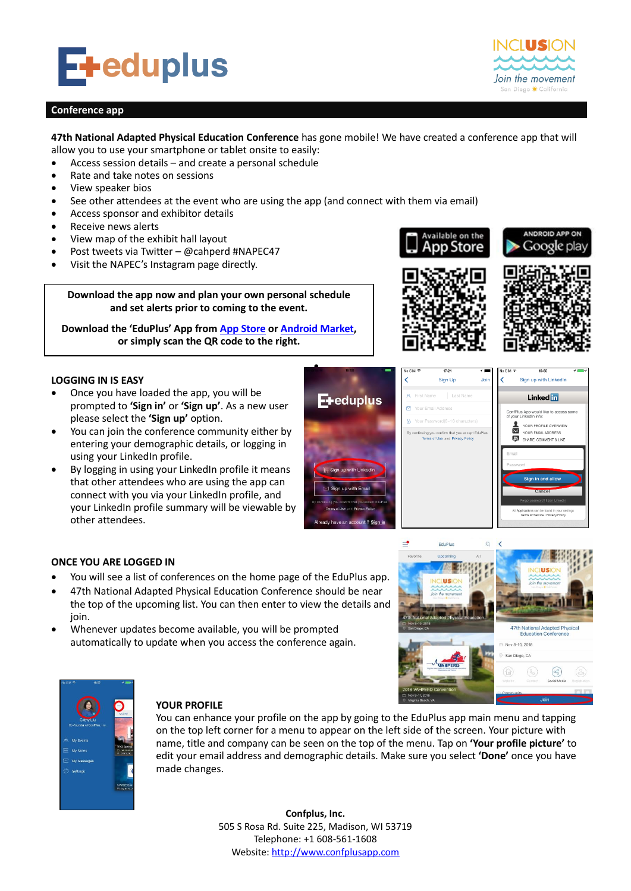

# **Conference app**

# **47th National Adapted Physical Education Conference** has gone mobile! We have created a conference app that will allow you to use your smartphone or tablet onsite to easily:

å

Access session details – and create a personal schedule

- Rate and take notes on sessions
- View speaker bios
- See other attendees at the event who are using the app (and connect with them via email)
- Access sponsor and exhibitor details
- Receive news alerts
- View map of the exhibit hall layout
- Post tweets via Twitter @cahperd #NAPEC47
- Visit the NAPEC's Instagram page directly.

**Download the app now and plan your own personal schedule and set alerts prior to coming to the event.**

**Download the 'EduPlus' App from [App Store](https://itunes.apple.com/us/app/eduplus/id1080293886?mt=8) o[r Android Market,](https://play.google.com/store/apps/details?id=com.confplusapp.android.eduplus) or simply scan the QR code to the right.**

# **LOGGING IN IS EASY**

- Once you have loaded the app, you will be prompted to **'Sign in'** or **'Sign up'**. As a new user please select the **'Sign up'** option.
- You can join the conference community either by entering your demographic details, or logging in using your LinkedIn profile.
- By logging in using your LinkedIn profile it means that other attendees who are using the app can connect with you via your LinkedIn profile, and your LinkedIn profile summary will be viewable by other attendees.





Available on the



Join the movement San Diego \*California



### **ONCE YOU ARE LOGGED IN**

- You will see a list of conferences on the home page of the EduPlus app.
- 47th National Adapted Physical Education Conference should be near the top of the upcoming list. You can then enter to view the details and join.
- Whenever updates become available, you will be prompted automatically to update when you access the conference again.





# **YOUR PROFILE**

You can enhance your profile on the app by going to the EduPlus app main menu and tapping on the top left corner for a menu to appear on the left side of the screen. Your picture with name, title and company can be seen on the top of the menu. Tap on **'Your profile picture'** to edit your email address and demographic details. Make sure you select **'Done'** once you have made changes.

> **Confplus, Inc.** 505 S Rosa Rd. Suite 225, Madison, WI 53719 Telephone: +1 608-561-1608 Website[: http://www.confplusapp.com](http://www.confplusapp.com/)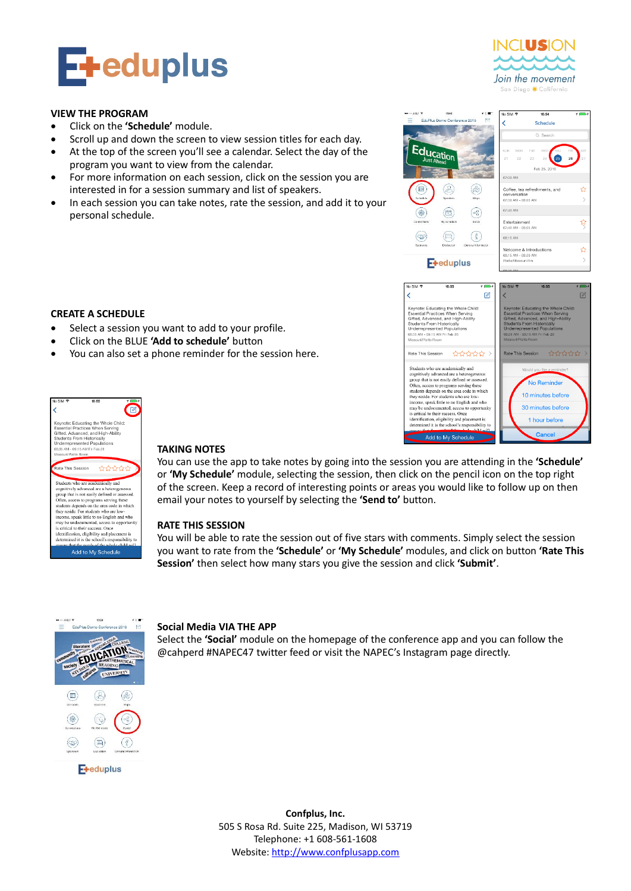

#### **VIEW THE PROGRAM**

- Click on the **'Schedule'** module.
- Scroll up and down the screen to view session titles for each day.
- At the top of the screen you'll see a calendar. Select the day of the program you want to view from the calendar.
- For more information on each session, click on the session you are interested in for a session summary and list of speakers.
- In each session you can take notes, rate the session, and add it to your personal schedule.



Add to My Schedule

Join the movement

1 hour before

Cand

## **CREATE A SCHEDULE**

- Select a session you want to add to your profile.
- Click on the BLUE **'Add to schedule'** button
- You can also set a phone reminder for the session here.



# **TAKING NOTES**

You can use the app to take notes by going into the session you are attending in the **'Schedule'**  or **'My Schedule'** module, selecting the session, then click on the pencil icon on the top right of the screen. Keep a record of interesting points or areas you would like to follow up on then email your notes to yourself by selecting the **'Send to'** button.

#### **RATE THIS SESSION**

You will be able to rate the session out of five stars with comments. Simply select the session you want to rate from the **'Schedule'** or **'My Schedule'** modules, and click on button **'Rate This Session'** then select how many stars you give the session and click **'Submit'**.



#### **Social Media VIA THE APP**

Select the **'Social'** module on the homepage of the conference app and you can follow the @cahperd #NAPEC47 twitter feed or visit the NAPEC's Instagram page directly.